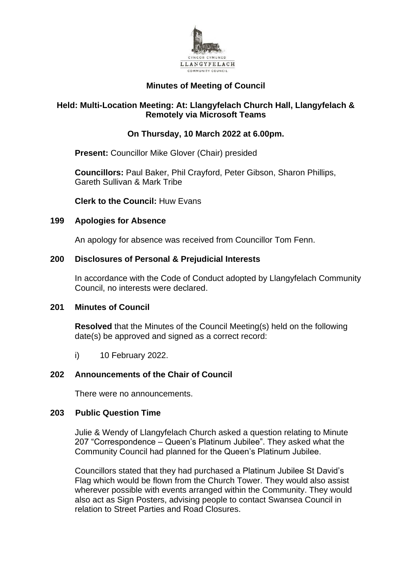

# **Minutes of Meeting of Council**

## **Held: Multi-Location Meeting: At: Llangyfelach Church Hall, Llangyfelach & Remotely via Microsoft Teams**

# **On Thursday, 10 March 2022 at 6.00pm.**

**Present:** Councillor Mike Glover (Chair) presided

**Councillors:** Paul Baker, Phil Crayford, Peter Gibson, Sharon Phillips, Gareth Sullivan & Mark Tribe

**Clerk to the Council:** Huw Evans

#### **199 Apologies for Absence**

An apology for absence was received from Councillor Tom Fenn.

## **200 Disclosures of Personal & Prejudicial Interests**

In accordance with the Code of Conduct adopted by Llangyfelach Community Council, no interests were declared.

#### **201 Minutes of Council**

**Resolved** that the Minutes of the Council Meeting(s) held on the following date(s) be approved and signed as a correct record:

i) 10 February 2022.

## **202 Announcements of the Chair of Council**

There were no announcements.

#### **203 Public Question Time**

Julie & Wendy of Llangyfelach Church asked a question relating to Minute 207 "Correspondence – Queen's Platinum Jubilee". They asked what the Community Council had planned for the Queen's Platinum Jubilee.

Councillors stated that they had purchased a Platinum Jubilee St David's Flag which would be flown from the Church Tower. They would also assist wherever possible with events arranged within the Community. They would also act as Sign Posters, advising people to contact Swansea Council in relation to Street Parties and Road Closures.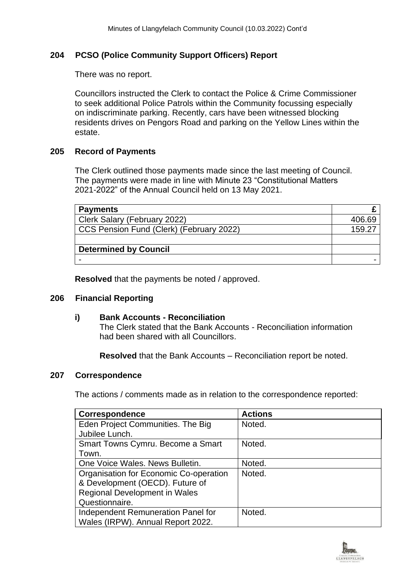## **204 PCSO (Police Community Support Officers) Report**

There was no report.

Councillors instructed the Clerk to contact the Police & Crime Commissioner to seek additional Police Patrols within the Community focussing especially on indiscriminate parking. Recently, cars have been witnessed blocking residents drives on Pengors Road and parking on the Yellow Lines within the estate.

## **205 Record of Payments**

The Clerk outlined those payments made since the last meeting of Council. The payments were made in line with Minute 23 "Constitutional Matters 2021-2022" of the Annual Council held on 13 May 2021.

| <b>Payments</b>                          |        |
|------------------------------------------|--------|
| Clerk Salary (February 2022)             | 406.69 |
| CCS Pension Fund (Clerk) (February 2022) | 159.27 |
|                                          |        |
| <b>Determined by Council</b>             |        |
|                                          |        |

**Resolved** that the payments be noted / approved.

#### **206 Financial Reporting**

## **i) Bank Accounts - Reconciliation**

The Clerk stated that the Bank Accounts - Reconciliation information had been shared with all Councillors.

**Resolved** that the Bank Accounts – Reconciliation report be noted.

#### **207 Correspondence**

The actions / comments made as in relation to the correspondence reported:

| <b>Correspondence</b>                  | <b>Actions</b> |
|----------------------------------------|----------------|
| Eden Project Communities. The Big      | Noted.         |
| Jubilee Lunch.                         |                |
| Smart Towns Cymru. Become a Smart      | Noted.         |
| Town.                                  |                |
| One Voice Wales. News Bulletin.        | Noted.         |
| Organisation for Economic Co-operation | Noted.         |
| & Development (OECD). Future of        |                |
| <b>Regional Development in Wales</b>   |                |
| Questionnaire.                         |                |
| Independent Remuneration Panel for     | Noted.         |
| Wales (IRPW). Annual Report 2022.      |                |

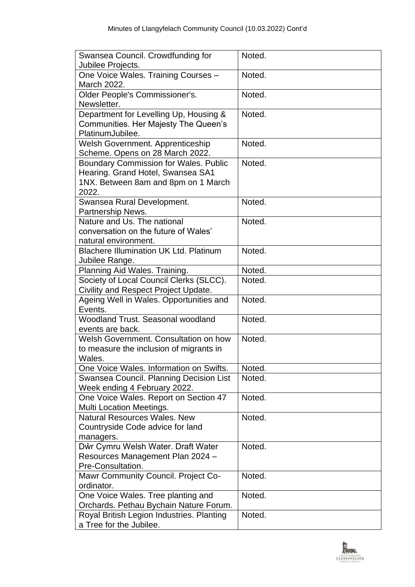| Swansea Council. Crowdfunding for<br>Jubilee Projects.                  | Noted. |
|-------------------------------------------------------------------------|--------|
| One Voice Wales. Training Courses -<br>March 2022.                      | Noted. |
| Older People's Commissioner's.                                          | Noted. |
| Newsletter.                                                             |        |
| Department for Levelling Up, Housing &                                  | Noted. |
| <b>Communities. Her Majesty The Queen's</b>                             |        |
| PlatinumJubilee.                                                        |        |
| Welsh Government. Apprenticeship                                        | Noted. |
| Scheme. Opens on 28 March 2022.                                         |        |
| <b>Boundary Commission for Wales. Public</b>                            | Noted. |
| Hearing. Grand Hotel, Swansea SA1                                       |        |
| 1NX. Between 8am and 8pm on 1 March                                     |        |
| 2022.                                                                   |        |
| Swansea Rural Development.                                              | Noted. |
| Partnership News.                                                       |        |
| Nature and Us. The national                                             | Noted. |
| conversation on the future of Wales'                                    |        |
| natural environment.                                                    |        |
| <b>Blachere Illumination UK Ltd. Platinum</b>                           | Noted. |
| Jubilee Range.                                                          |        |
| Planning Aid Wales. Training.                                           | Noted. |
| Society of Local Council Clerks (SLCC).                                 | Noted. |
| Civility and Respect Project Update.                                    |        |
| Ageing Well in Wales. Opportunities and<br>Events.                      | Noted. |
| Woodland Trust. Seasonal woodland                                       | Noted. |
| events are back.                                                        |        |
| Welsh Government, Consultation on how                                   | Noted. |
| to measure the inclusion of migrants in                                 |        |
| Wales.                                                                  |        |
| One Voice Wales. Information on Swifts.                                 | Noted. |
| Swansea Council. Planning Decision List<br>Week ending 4 February 2022. | Noted. |
| One Voice Wales. Report on Section 47                                   | Noted. |
| Multi Location Meetings.                                                |        |
| Natural Resources Wales, New                                            | Noted. |
| Countryside Code advice for land                                        |        |
| managers.                                                               |        |
| Dŵr Cymru Welsh Water. Draft Water                                      | Noted. |
| Resources Management Plan 2024 -                                        |        |
| Pre-Consultation.                                                       |        |
| Mawr Community Council. Project Co-                                     | Noted. |
| ordinator.                                                              |        |
| One Voice Wales. Tree planting and                                      | Noted. |
| Orchards. Pethau Bychain Nature Forum.                                  |        |
| Royal British Legion Industries. Planting                               | Noted. |
| a Tree for the Jubilee.                                                 |        |

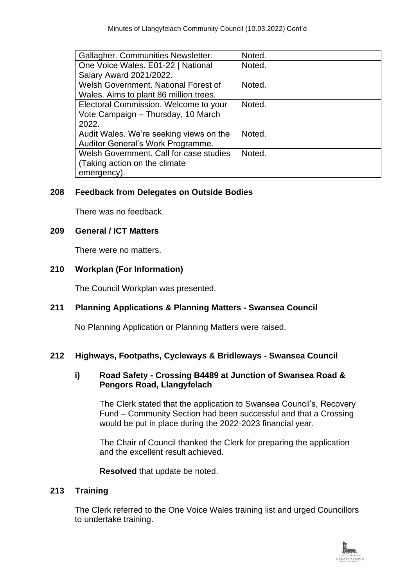| Gallagher. Communities Newsletter.      | Noted. |
|-----------------------------------------|--------|
| One Voice Wales. E01-22   National      | Noted. |
| Salary Award 2021/2022.                 |        |
| Welsh Government. National Forest of    | Noted. |
| Wales. Aims to plant 86 million trees.  |        |
| Electoral Commission. Welcome to your   | Noted. |
| Vote Campaign - Thursday, 10 March      |        |
| 2022.                                   |        |
| Audit Wales. We're seeking views on the | Noted. |
| Auditor General's Work Programme.       |        |
| Welsh Government. Call for case studies | Noted. |
| (Taking action on the climate)          |        |
| emergency).                             |        |

# **208 Feedback from Delegates on Outside Bodies**

There was no feedback.

## **209 General / ICT Matters**

There were no matters.

# **210 Workplan (For Information)**

The Council Workplan was presented.

## **211 Planning Applications & Planning Matters - Swansea Council**

No Planning Application or Planning Matters were raised.

## **212 Highways, Footpaths, Cycleways & Bridleways - Swansea Council**

# **i) Road Safety - Crossing B4489 at Junction of Swansea Road & Pengors Road, Llangyfelach**

The Clerk stated that the application to Swansea Council's, Recovery Fund – Community Section had been successful and that a Crossing would be put in place during the 2022-2023 financial year.

The Chair of Council thanked the Clerk for preparing the application and the excellent result achieved.

**Resolved** that update be noted.

## **213 Training**

The Clerk referred to the One Voice Wales training list and urged Councillors to undertake training.

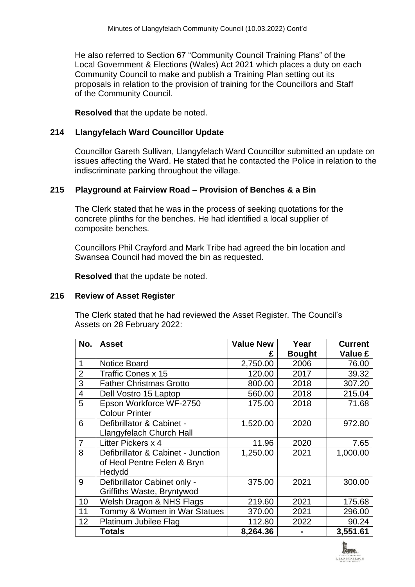He also referred to Section 67 "Community Council Training Plans" of the Local Government & Elections (Wales) Act 2021 which places a duty on each Community Council to make and publish a Training Plan setting out its proposals in relation to the provision of training for the Councillors and Staff of the Community Council.

**Resolved** that the update be noted.

#### **214 Llangyfelach Ward Councillor Update**

Councillor Gareth Sullivan, Llangyfelach Ward Councillor submitted an update on issues affecting the Ward. He stated that he contacted the Police in relation to the indiscriminate parking throughout the village.

#### **215 Playground at Fairview Road – Provision of Benches & a Bin**

The Clerk stated that he was in the process of seeking quotations for the concrete plinths for the benches. He had identified a local supplier of composite benches.

Councillors Phil Crayford and Mark Tribe had agreed the bin location and Swansea Council had moved the bin as requested.

**Resolved** that the update be noted.

#### **216 Review of Asset Register**

The Clerk stated that he had reviewed the Asset Register. The Council's Assets on 28 February 2022:

| No.            | <b>Asset</b>                                                                | <b>Value New</b> | Year          | <b>Current</b> |
|----------------|-----------------------------------------------------------------------------|------------------|---------------|----------------|
|                |                                                                             | £                | <b>Bought</b> | Value £        |
| 1              | <b>Notice Board</b>                                                         | 2,750.00         | 2006          | 76.00          |
| $\overline{2}$ | <b>Traffic Cones x 15</b>                                                   | 120.00           | 2017          | 39.32          |
| 3              | <b>Father Christmas Grotto</b>                                              | 800.00           | 2018          | 307.20         |
| 4              | Dell Vostro 15 Laptop                                                       | 560.00           | 2018          | 215.04         |
| 5              | Epson Workforce WF-2750<br><b>Colour Printer</b>                            | 175.00           | 2018          | 71.68          |
| 6              | Defibrillator & Cabinet -<br>Llangyfelach Church Hall                       | 1,520.00         | 2020          | 972.80         |
| $\overline{7}$ | Litter Pickers x 4                                                          | 11.96            | 2020          | 7.65           |
| 8              | Defibrillator & Cabinet - Junction<br>of Heol Pentre Felen & Bryn<br>Hedydd | 1,250.00         | 2021          | 1,000.00       |
| 9              | Defibrillator Cabinet only -<br>Griffiths Waste, Bryntywod                  | 375.00           | 2021          | 300.00         |
| 10             | Welsh Dragon & NHS Flags                                                    | 219.60           | 2021          | 175.68         |
| 11             | Tommy & Women in War Statues                                                | 370.00           | 2021          | 296.00         |
| 12             | Platinum Jubilee Flag                                                       | 112.80           | 2022          | 90.24          |
|                | <b>Totals</b>                                                               | 8,264.36         |               | 3,551.61       |

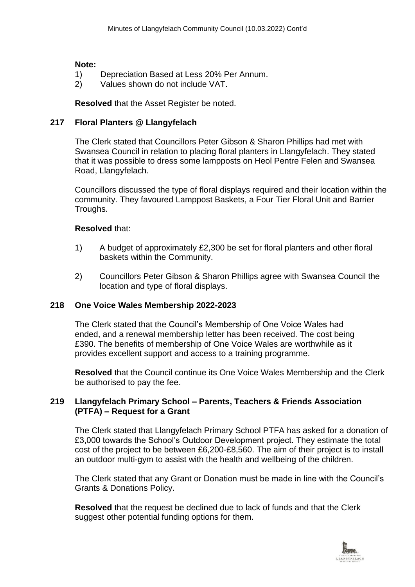#### **Note:**

- 1) Depreciation Based at Less 20% Per Annum.
- 2) Values shown do not include VAT.

#### **Resolved** that the Asset Register be noted.

#### **217 Floral Planters @ Llangyfelach**

The Clerk stated that Councillors Peter Gibson & Sharon Phillips had met with Swansea Council in relation to placing floral planters in Llangyfelach. They stated that it was possible to dress some lampposts on Heol Pentre Felen and Swansea Road, Llangyfelach.

Councillors discussed the type of floral displays required and their location within the community. They favoured Lamppost Baskets, a Four Tier Floral Unit and Barrier Troughs.

#### **Resolved** that:

- 1) A budget of approximately £2,300 be set for floral planters and other floral baskets within the Community.
- 2) Councillors Peter Gibson & Sharon Phillips agree with Swansea Council the location and type of floral displays.

## **218 One Voice Wales Membership 2022-2023**

The Clerk stated that the Council's Membership of One Voice Wales had ended, and a renewal membership letter has been received. The cost being £390. The benefits of membership of One Voice Wales are worthwhile as it provides excellent support and access to a training programme.

**Resolved** that the Council continue its One Voice Wales Membership and the Clerk be authorised to pay the fee.

#### **219 Llangyfelach Primary School – Parents, Teachers & Friends Association (PTFA) – Request for a Grant**

The Clerk stated that Llangyfelach Primary School PTFA has asked for a donation of £3,000 towards the School's Outdoor Development project. They estimate the total cost of the project to be between £6,200-£8,560. The aim of their project is to install an outdoor multi-gym to assist with the health and wellbeing of the children.

The Clerk stated that any Grant or Donation must be made in line with the Council's Grants & Donations Policy.

**Resolved** that the request be declined due to lack of funds and that the Clerk suggest other potential funding options for them.